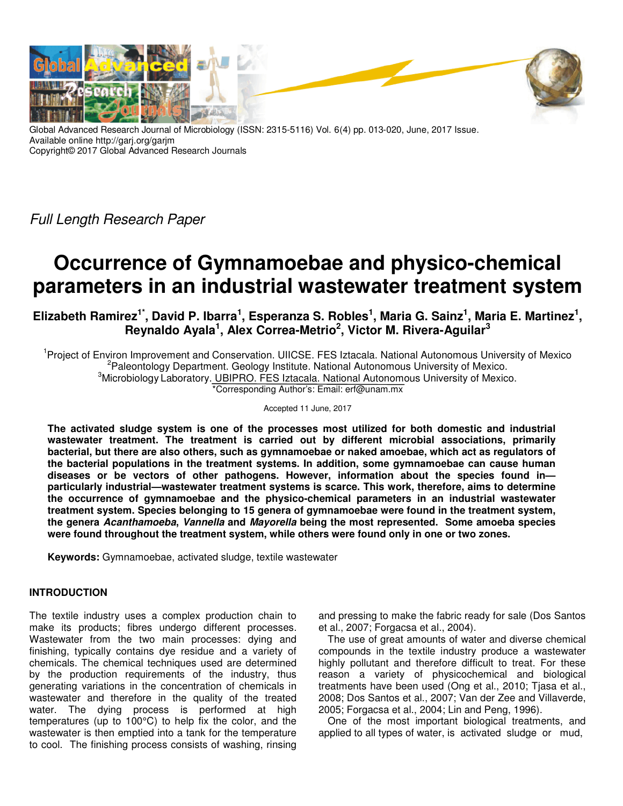

Global Advanced Research Journal of Microbiology (ISSN: 2315-5116) Vol. 6(4) pp. 013-020, June, 2017 Issue. Available online http://garj.org/garjm Copyright© 2017 Global Advanced Research Journals

Full Length Research Paper

# **Occurrence of Gymnamoebae and physico-chemical parameters in an industrial wastewater treatment system**

**Elizabeth Ramirez1\*, David P. Ibarra<sup>1</sup> , Esperanza S. Robles<sup>1</sup> , Maria G. Sainz<sup>1</sup> , Maria E. Martinez<sup>1</sup> , Reynaldo Ayala<sup>1</sup> , Alex Correa-Metrio<sup>2</sup> , Victor M. Rivera-Aguilar<sup>3</sup>**

<sup>1</sup> Project of Environ Improvement and Conservation. UIICSE. FES Iztacala. National Autonomous University of Mexico <sup>2</sup>Paleontology Department. Geology Institute. National Autonomous University of Mexico. <sup>3</sup>Microbiology Laboratory. UBIPRO. FES Iztacala. National Autonomous University of Mexico. \*Corresponding Author's: Email: erf@unam.mx

Accepted 11 June, 2017

**The activated sludge system is one of the processes most utilized for both domestic and industrial wastewater treatment. The treatment is carried out by different microbial associations, primarily bacterial, but there are also others, such as gymnamoebae or naked amoebae, which act as regulators of the bacterial populations in the treatment systems. In addition, some gymnamoebae can cause human diseases or be vectors of other pathogens. However, information about the species found in particularly industrial—wastewater treatment systems is scarce. This work, therefore, aims to determine the occurrence of gymnamoebae and the physico-chemical parameters in an industrial wastewater treatment system. Species belonging to 15 genera of gymnamoebae were found in the treatment system, the genera Acanthamoeba, Vannella and Mayorella being the most represented. Some amoeba species were found throughout the treatment system, while others were found only in one or two zones.** 

**Keywords:** Gymnamoebae, activated sludge, textile wastewater

# **INTRODUCTION**

The textile industry uses a complex production chain to make its products; fibres undergo different processes. Wastewater from the two main processes: dying and finishing, typically contains dye residue and a variety of chemicals. The chemical techniques used are determined by the production requirements of the industry, thus generating variations in the concentration of chemicals in wastewater and therefore in the quality of the treated water. The dying process is performed at high temperatures (up to 100°C) to help fix the color, and the wastewater is then emptied into a tank for the temperature to cool. The finishing process consists of washing, rinsing

and pressing to make the fabric ready for sale (Dos Santos et al., 2007; Forgacsa et al., 2004).

The use of great amounts of water and diverse chemical compounds in the textile industry produce a wastewater highly pollutant and therefore difficult to treat. For these reason a variety of physicochemical and biological treatments have been used (Ong et al., 2010; Tjasa et al., 2008; Dos Santos et al., 2007; Van der Zee and Villaverde, 2005; Forgacsa et al., 2004; Lin and Peng, 1996).

One of the most important biological treatments, and applied to all types of water, is activated sludge or mud,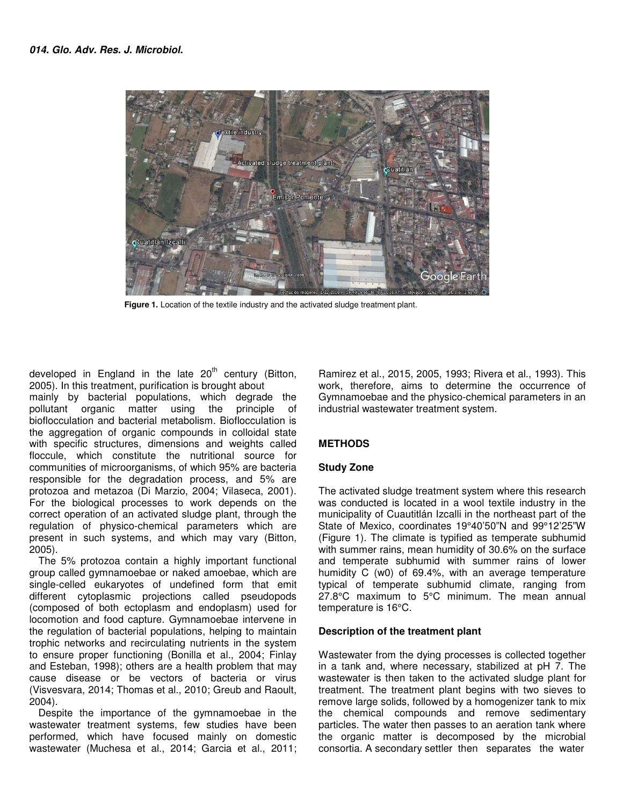

**Figure 1.** Location of the textile industry and the activated sludge treatment plant.

developed in England in the late  $20<sup>th</sup>$  century (Bitton, 2005). In this treatment, purification is brought about mainly by bacterial populations, which degrade the pollutant organic matter using the principle of pollutant organic matter using the principle of bioflocculation and bacterial metabolism. Bioflocculation is the aggregation of organic compounds in colloidal state with specific structures, dimensions and weights called floccule, which constitute the nutritional source for communities of microorganisms, of which 95% are bacteria responsible for the degradation process, and 5% are protozoa and metazoa (Di Marzio, 2004; Vilaseca, 2001). For the biological processes to work depends on the correct operation of an activated sludge plant, through the regulation of physico-chemical parameters which are present in such systems, and which may vary (Bitton, 2005).

The 5% protozoa contain a highly important functional group called gymnamoebae or naked amoebae, which are single-celled eukaryotes of undefined form that emit different cytoplasmic projections called pseudopods (composed of both ectoplasm and endoplasm) used for locomotion and food capture. Gymnamoebae intervene in the regulation of bacterial populations, helping to maintain trophic networks and recirculating nutrients in the system to ensure proper functioning (Bonilla et al., 2004; Finlay and Esteban, 1998); others are a health problem that may cause disease or be vectors of bacteria or virus (Visvesvara, 2014; Thomas et al., 2010; Greub and Raoult, 2004).

Despite the importance of the gymnamoebae in the wastewater treatment systems, few studies have been performed, which have focused mainly on domestic wastewater (Muchesa et al., 2014; Garcia et al., 2011;

Ramirez et al., 2015, 2005, 1993; Rivera et al., 1993). This work, therefore, aims to determine the occurrence of Gymnamoebae and the physico-chemical parameters in an industrial wastewater treatment system.

# **METHODS**

# **Study Zone**

The activated sludge treatment system where this research was conducted is located in a wool textile industry in the municipality of Cuautitlán Izcalli in the northeast part of the State of Mexico, coordinates 19°40'50"N and 99°12'25"W (Figure 1). The climate is typified as temperate subhumid with summer rains, mean humidity of 30.6% on the surface and temperate subhumid with summer rains of lower humidity C (w0) of 69.4%, with an average temperature typical of temperate subhumid climate, ranging from 27.8°C maximum to 5°C minimum. The mean annual temperature is 16°C.

# **Description of the treatment plant**

Wastewater from the dying processes is collected together in a tank and, where necessary, stabilized at pH 7. The wastewater is then taken to the activated sludge plant for treatment. The treatment plant begins with two sieves to remove large solids, followed by a homogenizer tank to mix the chemical compounds and remove sedimentary particles. The water then passes to an aeration tank where the organic matter is decomposed by the microbial consortia. A secondary settler then separates the water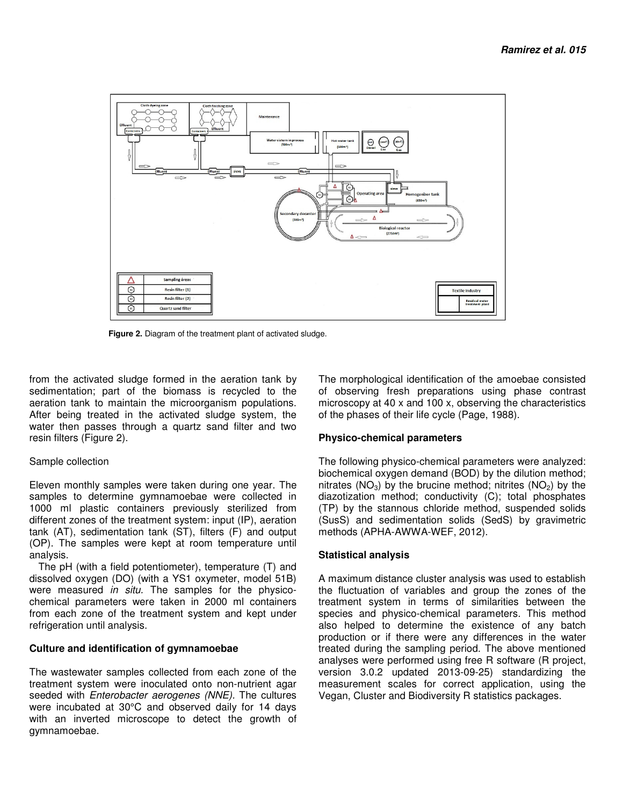

 **Figure 2.** Diagram of the treatment plant of activated sludge.

from the activated sludge formed in the aeration tank by sedimentation; part of the biomass is recycled to the aeration tank to maintain the microorganism populations. After being treated in the activated sludge system, the water then passes through a quartz sand filter and two resin filters (Figure 2).

## Sample collection

Eleven monthly samples were taken during one year. The samples to determine gymnamoebae were collected in 1000 ml plastic containers previously sterilized from different zones of the treatment system: input (IP), aeration tank (AT), sedimentation tank (ST), filters (F) and output (OP). The samples were kept at room temperature until analysis.

The pH (with a field potentiometer), temperature (T) and dissolved oxygen (DO) (with a YS1 oxymeter, model 51B) were measured in situ. The samples for the physicochemical parameters were taken in 2000 ml containers from each zone of the treatment system and kept under refrigeration until analysis.

## **Culture and identification of gymnamoebae**

The wastewater samples collected from each zone of the treatment system were inoculated onto non-nutrient agar seeded with *Enterobacter aerogenes (NNE)*. The cultures were incubated at 30°C and observed daily for 14 days with an inverted microscope to detect the growth of gymnamoebae.

The morphological identification of the amoebae consisted of observing fresh preparations using phase contrast microscopy at 40 x and 100 x, observing the characteristics of the phases of their life cycle (Page, 1988).

# **Physico-chemical parameters**

The following physico-chemical parameters were analyzed: biochemical oxygen demand (BOD) by the dilution method; nitrates ( $NO<sub>3</sub>$ ) by the brucine method; nitrites ( $NO<sub>2</sub>$ ) by the diazotization method; conductivity (C); total phosphates (TP) by the stannous chloride method, suspended solids (SusS) and sedimentation solids (SedS) by gravimetric methods (APHA-AWWA-WEF, 2012).

# **Statistical analysis**

A maximum distance cluster analysis was used to establish the fluctuation of variables and group the zones of the treatment system in terms of similarities between the species and physico-chemical parameters. This method also helped to determine the existence of any batch production or if there were any differences in the water treated during the sampling period. The above mentioned analyses were performed using free R software (R project, version 3.0.2 updated 2013-09-25) standardizing the measurement scales for correct application, using the Vegan, Cluster and Biodiversity R statistics packages.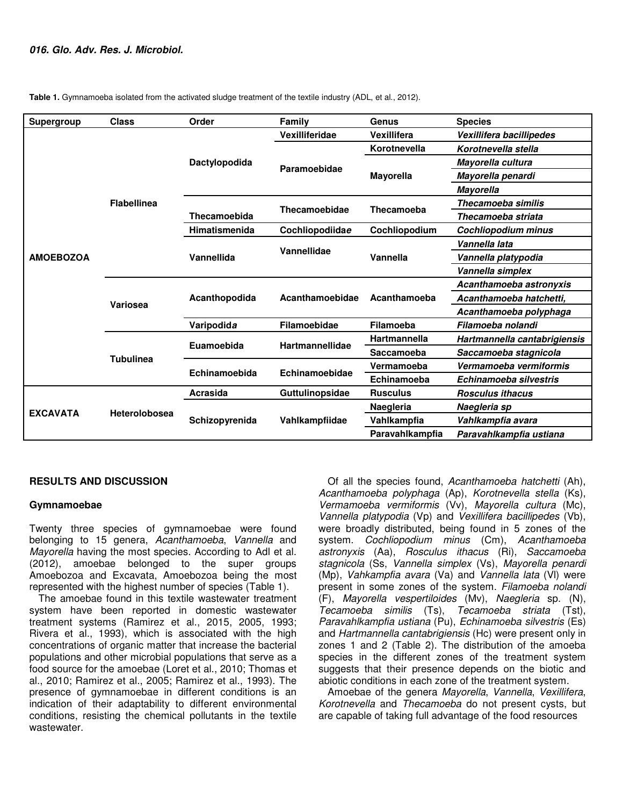| Supergroup       | <b>Class</b>         | Order                | Family                 | Genus               | <b>Species</b>               |  |  |  |
|------------------|----------------------|----------------------|------------------------|---------------------|------------------------------|--|--|--|
|                  |                      |                      | Vexilliferidae         | Vexillifera         | Vexillifera bacillipedes     |  |  |  |
|                  |                      |                      |                        | Korotnevella        | Korotnevella stella          |  |  |  |
|                  |                      | Dactylopodida        |                        |                     | Mayorella cultura            |  |  |  |
|                  |                      |                      | Paramoebidae           | <b>Mayorella</b>    | Mayorella penardi            |  |  |  |
|                  |                      |                      |                        |                     | <b>Mayorella</b>             |  |  |  |
|                  | <b>Flabellinea</b>   |                      | <b>Thecamoebidae</b>   | Thecamoeba          | Thecamoeba similis           |  |  |  |
|                  |                      | Thecamoebida         |                        |                     | Thecamoeba striata           |  |  |  |
|                  |                      | <b>Himatismenida</b> | Cochliopodiidae        | Cochliopodium       | <b>Cochliopodium minus</b>   |  |  |  |
|                  |                      |                      |                        |                     | Vannella lata                |  |  |  |
| <b>AMOEBOZOA</b> |                      | Vannellida           | Vannellidae            | Vannella            | Vannella platypodia          |  |  |  |
|                  |                      |                      |                        |                     | Vannella simplex             |  |  |  |
|                  |                      |                      |                        |                     | Acanthamoeba astronyxis      |  |  |  |
|                  | Variosea             | Acanthopodida        | Acanthamoebidae        | Acanthamoeba        | Acanthamoeba hatchetti,      |  |  |  |
|                  |                      |                      |                        |                     | Acanthamoeba polyphaga       |  |  |  |
|                  |                      | Varipodida           | Filamoebidae           | Filamoeba           | Filamoeba nolandi            |  |  |  |
|                  |                      | Euamoebida           | <b>Hartmannellidae</b> | <b>Hartmannella</b> | Hartmannella cantabrigiensis |  |  |  |
|                  | <b>Tubulinea</b>     |                      |                        | Saccamoeba          | Saccamoeba stagnicola        |  |  |  |
|                  |                      | Echinamoebida        | Echinamoebidae         | Vermamoeba          | Vermamoeba vermiformis       |  |  |  |
|                  |                      |                      |                        | Echinamoeba         | Echinamoeba silvestris       |  |  |  |
| <b>EXCAVATA</b>  |                      | Acrasida             | Guttulinopsidae        | <b>Rusculus</b>     | Rosculus <i>ithacus</i>      |  |  |  |
|                  | <b>Heterolobosea</b> |                      |                        | Naegleria           | Naegleria sp                 |  |  |  |
|                  |                      | Schizopyrenida       | Vahlkampfiidae         | Vahlkampfia         | Vahlkampfia avara            |  |  |  |
|                  |                      |                      |                        | Paravahlkampfia     | Paravahlkampfia ustiana      |  |  |  |

**Table 1.** Gymnamoeba isolated from the activated sludge treatment of the textile industry (ADL, et al., 2012).

# **RESULTS AND DISCUSSION**

## **Gymnamoebae**

Twenty three species of gymnamoebae were found belonging to 15 genera, Acanthamoeba, Vannella and Mayorella having the most species. According to Adl et al. (2012), amoebae belonged to the super groups Amoebozoa and Excavata, Amoebozoa being the most represented with the highest number of species (Table 1).

The amoebae found in this textile wastewater treatment system have been reported in domestic wastewater treatment systems (Ramirez et al., 2015, 2005, 1993; Rivera et al., 1993), which is associated with the high concentrations of organic matter that increase the bacterial populations and other microbial populations that serve as a food source for the amoebae (Loret et al., 2010; Thomas et al., 2010; Ramirez et al., 2005; Ramirez et al., 1993). The presence of gymnamoebae in different conditions is an indication of their adaptability to different environmental conditions, resisting the chemical pollutants in the textile wastewater.

Of all the species found, Acanthamoeba hatchetti (Ah), Acanthamoeba polyphaga (Ap), Korotnevella stella (Ks), Vermamoeba vermiformis (Vv), Mayorella cultura (Mc), Vannella platypodia (Vp) and Vexillifera bacillipedes (Vb), were broadly distributed, being found in 5 zones of the system. Cochliopodium minus (Cm), Acanthamoeba astronyxis (Aa), Rosculus ithacus (Ri), Saccamoeba stagnicola (Ss, Vannella simplex (Vs), Mayorella penardi (Mp), Vahkampfia avara (Va) and Vannella lata (Vl) were present in some zones of the system. Filamoeba nolandi (F), Mayorella vespertiloides (Mv), Naegleria sp. (N), Tecamoeba similis (Ts), Tecamoeba striata (Tst), Paravahlkampfia ustiana (Pu), Echinamoeba silvestris (Es) and Hartmannella cantabrigiensis (Hc) were present only in zones 1 and 2 (Table 2). The distribution of the amoeba species in the different zones of the treatment system suggests that their presence depends on the biotic and abiotic conditions in each zone of the treatment system.

Amoebae of the genera Mayorella, Vannella, Vexillifera, Korotnevella and Thecamoeba do not present cysts, but are capable of taking full advantage of the food resources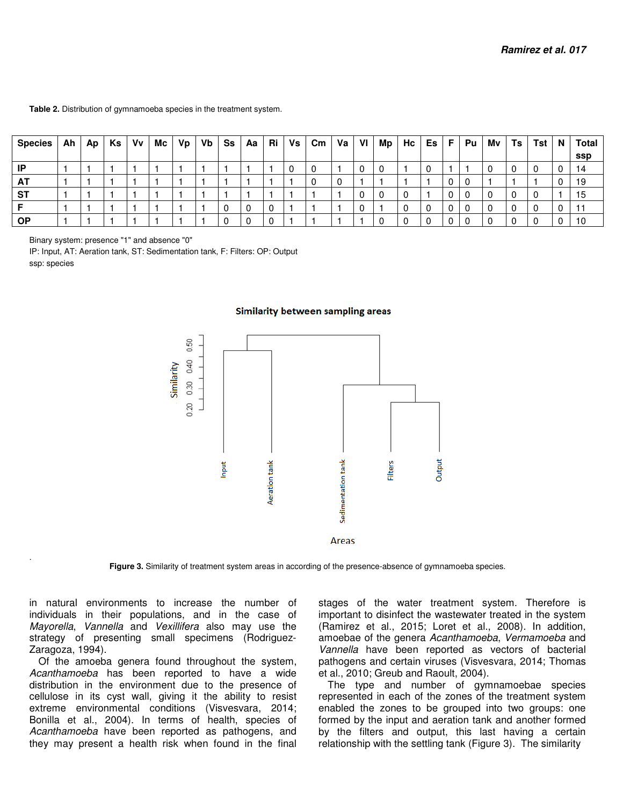#### **Table 2.** Distribution of gymnamoeba species in the treatment system.

| Species   | Ah | Ap | Ks   Vv | $Mc$ $Vp$ | Vb | Ss | Aa Ri | Vs | $\mathsf{Cm} \mid \mathsf{Va} \mid$ | VI | Мp | Hc | Es l | - F I | Pu | Mv | Ts | Tst | N | Total |
|-----------|----|----|---------|-----------|----|----|-------|----|-------------------------------------|----|----|----|------|-------|----|----|----|-----|---|-------|
|           |    |    |         |           |    |    |       |    |                                     |    |    |    |      |       |    |    |    |     |   | ssp   |
| IP        |    |    |         |           |    |    |       |    |                                     |    |    |    |      |       |    |    |    | 0   |   | 14    |
| A1        |    |    |         |           |    |    |       |    |                                     |    |    |    |      | 0     |    |    |    |     |   | 19    |
| <b>ST</b> |    |    |         |           |    |    |       |    |                                     |    |    |    |      | 0     |    |    |    | 0   |   | 15    |
|           |    |    |         |           |    |    |       |    |                                     |    |    |    |      |       |    |    |    | 0   |   |       |
| <b>OP</b> |    |    |         |           |    |    |       |    |                                     |    |    |    |      |       |    |    |    |     |   | 10    |

Binary system: presence "1" and absence "0"

.

IP: Input, AT: Aeration tank, ST: Sedimentation tank, F: Filters: OP: Output ssp: species

#### Similarity between sampling areas



**Figure 3.** Similarity of treatment system areas in according of the presence-absence of gymnamoeba species.

in natural environments to increase the number of individuals in their populations, and in the case of Mayorella, Vannella and Vexillifera also may use the strategy of presenting small specimens (Rodriguez-Zaragoza, 1994).

Of the amoeba genera found throughout the system, Acanthamoeba has been reported to have a wide distribution in the environment due to the presence of cellulose in its cyst wall, giving it the ability to resist extreme environmental conditions (Visvesvara, 2014; Bonilla et al., 2004). In terms of health, species of Acanthamoeba have been reported as pathogens, and they may present a health risk when found in the final

stages of the water treatment system. Therefore is important to disinfect the wastewater treated in the system (Ramirez et al., 2015; Loret et al., 2008). In addition, amoebae of the genera Acanthamoeba, Vermamoeba and Vannella have been reported as vectors of bacterial pathogens and certain viruses (Visvesvara, 2014; Thomas et al., 2010; Greub and Raoult, 2004).

The type and number of gymnamoebae species represented in each of the zones of the treatment system enabled the zones to be grouped into two groups: one formed by the input and aeration tank and another formed by the filters and output, this last having a certain relationship with the settling tank (Figure 3). The similarity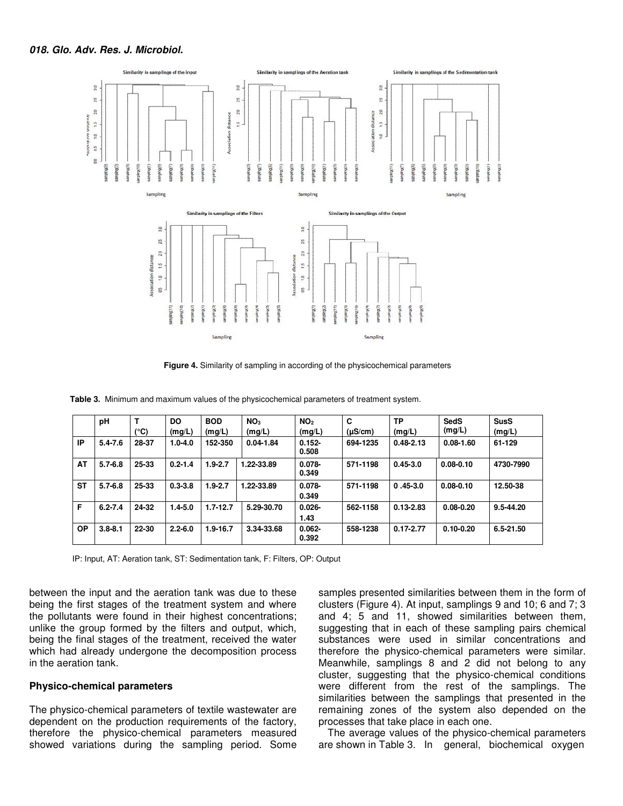

**Figure 4.** Similarity of sampling in according of the physicochemical parameters

|           | pH          | т<br>(°C) | <b>DO</b><br>(mg/L) | <b>BOD</b><br>(mg/L) | NO <sub>3</sub><br>(mg/L) | NO <sub>2</sub><br>(mg/L) | C<br>$(\mu S/cm)$ | ТP<br>(mg/L)  | <b>SedS</b><br>(mg/L) | <b>SusS</b><br>(mg/L) |
|-----------|-------------|-----------|---------------------|----------------------|---------------------------|---------------------------|-------------------|---------------|-----------------------|-----------------------|
| IP        | $5.4 - 7.6$ | 28-37     | $1.0 - 4.0$         | 152-350              | $0.04 - 1.84$             | $0.152 -$<br>0.508        | 694-1235          | $0.48 - 2.13$ | $0.08 - 1.60$         | 61-129                |
| AT        | $5.7 - 6.8$ | 25-33     | $0.2 - 1.4$         | $1.9 - 2.7$          | 1.22-33.89                | $0.078 -$<br>0.349        | 571-1198          | $0.45 - 3.0$  | $0.08 - 0.10$         | 4730-7990             |
| <b>ST</b> | $5.7 - 6.8$ | 25-33     | $0.3 - 3.8$         | $1.9 - 2.7$          | 1.22-33.89                | $0.078 -$<br>0.349        | 571-1198          | $0.45 - 3.0$  | $0.08 - 0.10$         | 12.50-38              |
| F         | $6.2 - 7.4$ | 24-32     | $.4 - 5.0$          | $1.7 - 12.7$         | 5.29-30.70                | $0.026 -$<br>1.43         | 562-1158          | $0.13 - 2.83$ | $0.08 - 0.20$         | 9.5-44.20             |
| OP        | $3.8 - 8.1$ | 22-30     | $2.2 - 6.0$         | 1.9-16.7             | 3.34-33.68                | $0.062 -$<br>0.392        | 558-1238          | $0.17 - 2.77$ | $0.10 - 0.20$         | 6.5-21.50             |

 **Table 3.** Minimum and maximum values of the physicochemical parameters of treatment system.

IP: Input, AT: Aeration tank, ST: Sedimentation tank, F: Filters, OP: Output

between the input and the aeration tank was due to these being the first stages of the treatment system and where the pollutants were found in their highest concentrations; unlike the group formed by the filters and output, which, being the final stages of the treatment, received the water which had already undergone the decomposition process in the aeration tank.

## **Physico-chemical parameters**

The physico-chemical parameters of textile wastewater are dependent on the production requirements of the factory, therefore the physico-chemical parameters measured showed variations during the sampling period. Some

samples presented similarities between them in the form of clusters (Figure 4). At input, samplings 9 and 10; 6 and 7; 3 and 4; 5 and 11, showed similarities between them, suggesting that in each of these sampling pairs chemical substances were used in similar concentrations and therefore the physico-chemical parameters were similar. Meanwhile, samplings 8 and 2 did not belong to any cluster, suggesting that the physico-chemical conditions were different from the rest of the samplings. The similarities between the samplings that presented in the remaining zones of the system also depended on the processes that take place in each one.

The average values of the physico-chemical parameters are shown in Table 3. In general, biochemical oxygen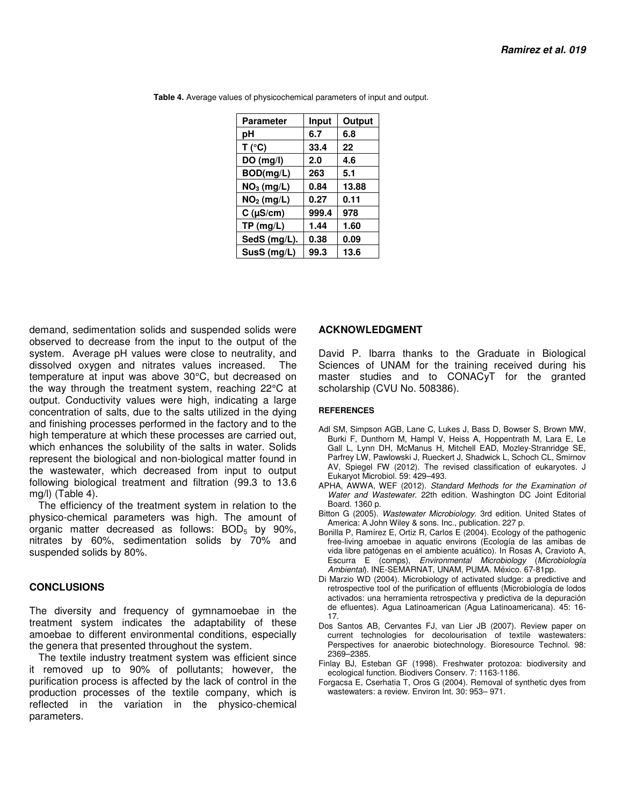| <b>Parameter</b>       | Input | Output |
|------------------------|-------|--------|
| рH                     | 6.7   | 6.8    |
| T (°C)                 | 33.4  | 22     |
| DO (mg/l)              | 2.0   | 4.6    |
| BOD(mg/L)              | 263   | 5.1    |
| NO <sub>3</sub> (mg/L) | 0.84  | 13.88  |
| NO <sub>2</sub> (mg/L) | 0.27  | 0.11   |
| $C$ ( $\mu$ S/cm)      | 999.4 | 978    |
| TP(mg/L)               | 1.44  | 1.60   |
| SedS (mg/L).           | 0.38  | 0.09   |
| SusS (mg/L)            | 99.3  | 13.6   |

 **Table 4.** Average values of physicochemical parameters of input and output.

demand, sedimentation solids and suspended solids were observed to decrease from the input to the output of the system. Average pH values were close to neutrality, and dissolved oxygen and nitrates values increased. The temperature at input was above 30°C, but decreased on the way through the treatment system, reaching 22°C at output. Conductivity values were high, indicating a large concentration of salts, due to the salts utilized in the dying and finishing processes performed in the factory and to the high temperature at which these processes are carried out, which enhances the solubility of the salts in water. Solids represent the biological and non-biological matter found in the wastewater, which decreased from input to output following biological treatment and filtration (99.3 to 13.6 mg/l) (Table 4).

The efficiency of the treatment system in relation to the physico-chemical parameters was high. The amount of organic matter decreased as follows:  $BOD<sub>5</sub>$  by 90%, nitrates by 60%, sedimentation solids by 70% and suspended solids by 80%.

## **CONCLUSIONS**

The diversity and frequency of gymnamoebae in the treatment system indicates the adaptability of these amoebae to different environmental conditions, especially the genera that presented throughout the system.

The textile industry treatment system was efficient since it removed up to 90% of pollutants; however, the purification process is affected by the lack of control in the production processes of the textile company, which is reflected in the variation in the physico-chemical parameters.

## **ACKNOWLEDGMENT**

David P. Ibarra thanks to the Graduate in Biological Sciences of UNAM for the training received during his master studies and to CONACyT for the granted scholarship (CVU No. 508386).

#### **REFERENCES**

- Adl SM, Simpson AGB, Lane C, Lukes J, Bass D, Bowser S, Brown MW, Burki F, Dunthorn M, Hampl V, Heiss A, Hoppentrath M, Lara E, Le Gall L, Lynn DH, McManus H, Mitchell EAD, Mozley-Stranridge SE, Parfrey LW, Pawlowski J, Rueckert J, Shadwick L, Schoch CL, Smirnov AV, Spiegel FW (2012). The revised classification of eukaryotes. J Eukaryot Microbiol. 59: 429–493.
- APHA, AWWA, WEF (2012). Standard Methods for the Examination of Water and Wastewater. 22th edition. Washington DC Joint Editorial Board. 1360 p.
- Bitton G (2005). Wastewater Microbiology. 3rd edition. United States of America: A John Wiley & sons. Inc., publication. 227 p.
- Bonilla P, Ramírez E, Ortiz R, Carlos E (2004). Ecology of the pathogenic free-living amoebae in aquatic environs (Ecología de las amibas de vida libre patógenas en el ambiente acuático). In Rosas A, Cravioto A, Escurra E (comps), Environmental Microbiology (Microbiología Ambiental). INE-SEMARNAT, UNAM, PUMA. México. 67-81pp.
- Di Marzio WD (2004). Microbiology of activated sludge: a predictive and retrospective tool of the purification of effluents (Microbiología de lodos activados: una herramienta retrospectiva y predictiva de la depuración de efluentes). Agua Latinoamerican (Agua Latinoamericana). 45: 16- 17.
- Dos Santos AB, Cervantes FJ, van Lier JB (2007). Review paper on current technologies for decolourisation of textile wastewaters: Perspectives for anaerobic biotechnology. Bioresource Technol. 98: 2369–2385.
- Finlay BJ, Esteban GF (1998). Freshwater protozoa: biodiversity and ecological function. Biodivers Conserv. 7: 1163-1186.
- Forgacsa E, Cserhatia T, Oros G (2004). Removal of synthetic dyes from wastewaters: a review. Environ Int. 30: 953– 971.